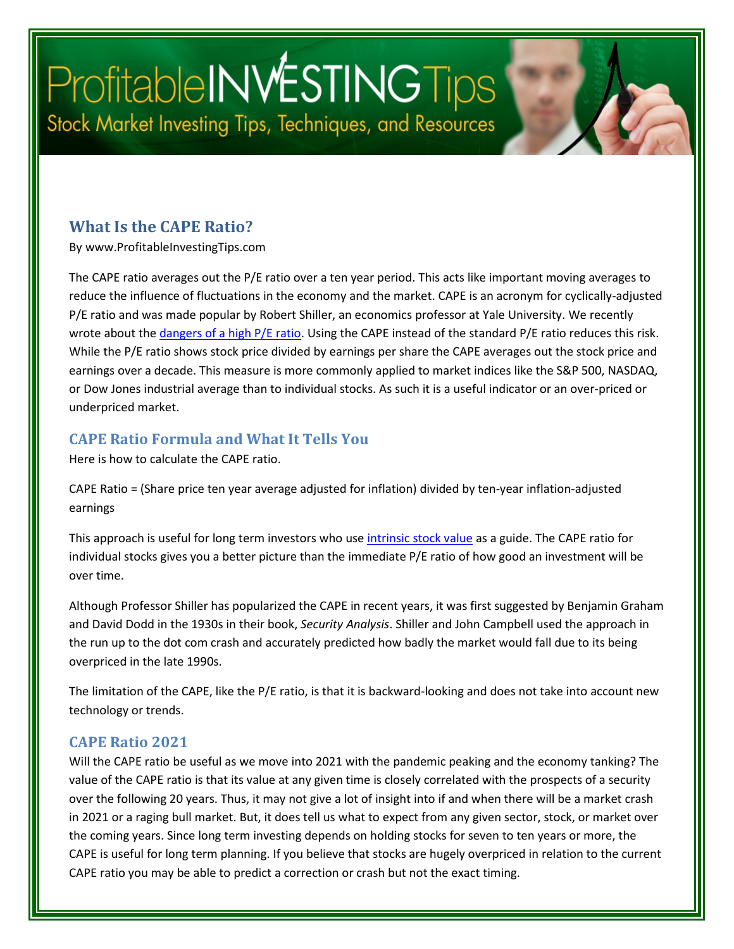# Profitable INVESTING Tips Stock Market Investing Tips, Techniques, and Resources

### **What Is the CAPE Ratio?**

By www.ProfitableInvestingTips.com

The CAPE ratio averages out the P/E ratio over a ten year period. This acts like important moving averages to reduce the influence of fluctuations in the economy and the market. CAPE is an acronym for cyclically-adjusted P/E ratio and was made popular by Robert Shiller, an economics professor at Yale University. We recently wrote about the *dangers of a high P/E ratio*. Using the CAPE instead of the standard P/E ratio reduces this risk. While the P/E ratio shows stock price divided by earnings per share the CAPE averages out the stock price and earnings over a decade. This measure is more commonly applied to market indices like the S&P 500, NASDAQ, or Dow Jones industrial average than to individual stocks. As such it is a useful indicator or an over-priced or underpriced market.

#### **CAPE Ratio Formula and What It Tells You**

Here is how to calculate the CAPE ratio.

CAPE Ratio = (Share price ten year average adjusted for inflation) divided by ten-year inflation-adjusted earnings

This approach is useful for long term investors who use [intrinsic stock value](https://profitableinvestingtips.com/profitable-investing-tips/what-is-intrinsic-stock-value) as a guide. The CAPE ratio for individual stocks gives you a better picture than the immediate P/E ratio of how good an investment will be over time.

Although Professor Shiller has popularized the CAPE in recent years, it was first suggested by Benjamin Graham and David Dodd in the 1930s in their book, *Security Analysis*. Shiller and John Campbell used the approach in the run up to the dot com crash and accurately predicted how badly the market would fall due to its being overpriced in the late 1990s.

The limitation of the CAPE, like the P/E ratio, is that it is backward-looking and does not take into account new technology or trends.

#### **CAPE Ratio 2021**

Will the CAPE ratio be useful as we move into 2021 with the pandemic peaking and the economy tanking? The value of the CAPE ratio is that its value at any given time is closely correlated with the prospects of a security over the following 20 years. Thus, it may not give a lot of insight into if and when there will be a market crash in 2021 or a raging bull market. But, it does tell us what to expect from any given sector, stock, or market over the coming years. Since long term investing depends on holding stocks for seven to ten years or more, the CAPE is useful for long term planning. If you believe that stocks are hugely overpriced in relation to the current CAPE ratio you may be able to predict a correction or crash but not the exact timing.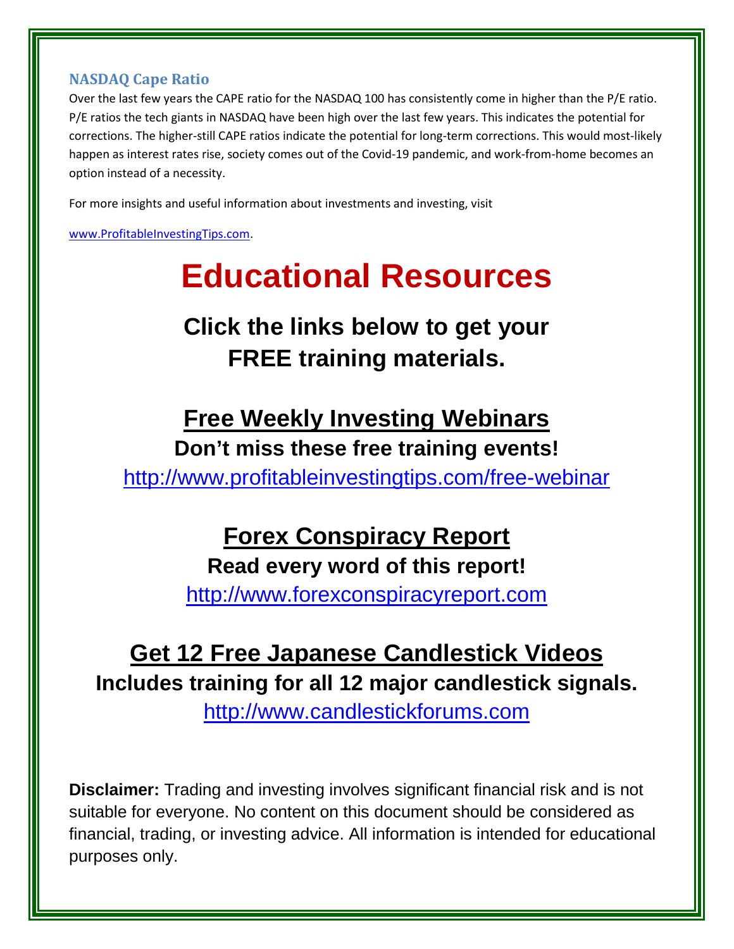#### **NASDAQ Cape Ratio**

Over the last few years the CAPE ratio for the NASDAQ 100 has consistently come in higher than the P/E ratio. P/E ratios the tech giants in NASDAQ have been high over the last few years. This indicates the potential for corrections. The higher-still CAPE ratios indicate the potential for long-term corrections. This would most-likely happen as interest rates rise, society comes out of the Covid-19 pandemic, and work-from-home becomes an option instead of a necessity.

For more insights and useful information about investments and investing, visit

[www.ProfitableInvestingTips.com.](http://www.profitableinvestingtips.com/)

# **Educational Resources**

## **Click the links below to get your FREE training materials.**

### **Free Weekly Investing Webinars**

**Don't miss these free training events!** <http://www.profitableinvestingtips.com/free-webinar>

## **Forex Conspiracy Report**

### **Read every word of this report!**

[http://www.forexconspiracyreport.com](http://www.forexconspiracyreport.com/)

### **Get 12 Free Japanese Candlestick Videos Includes training for all 12 major candlestick signals.**

[http://www.candlestickforums.com](http://www.candlestickforums.com/)

**Disclaimer:** Trading and investing involves significant financial risk and is not suitable for everyone. No content on this document should be considered as financial, trading, or investing advice. All information is intended for educational purposes only.